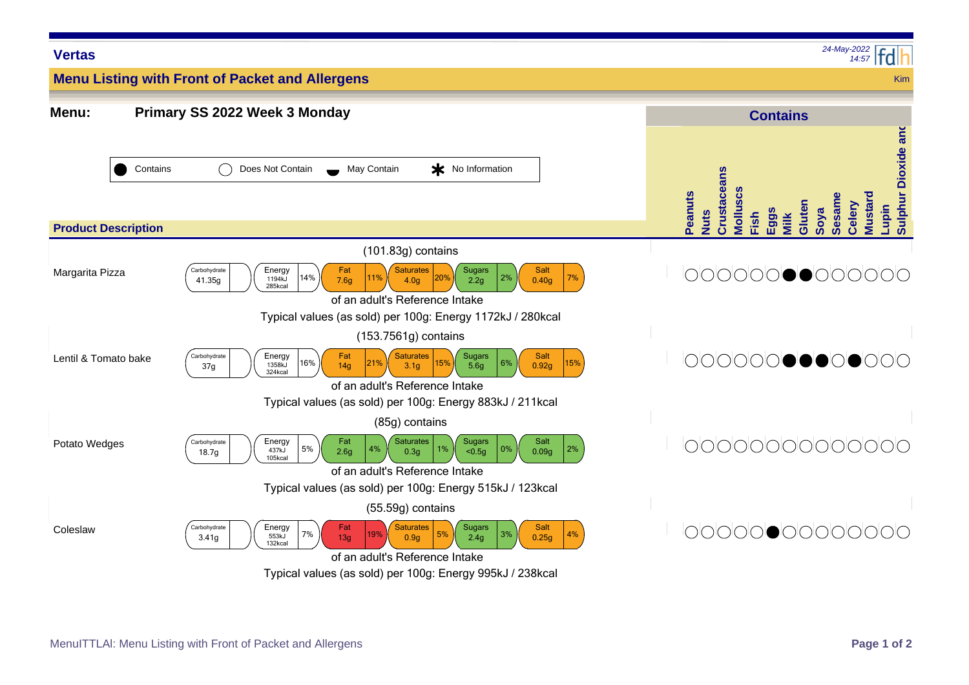